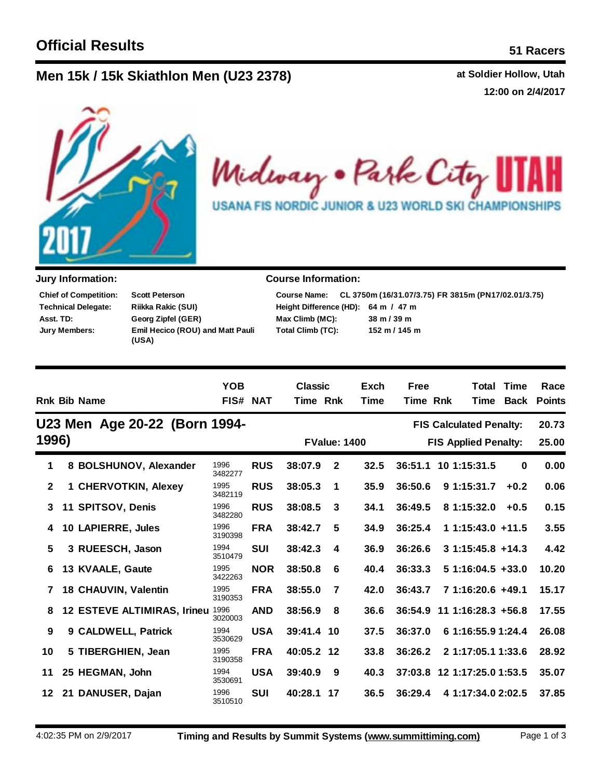## **Men** 15k / 15k Skiathlon Men (U23 2378) **at Soldier Hollow, Utah**

**12:00 on 2/4/2017**



Midway . Park City 11 AH **USANA FIS NORDIC JUNIOR & U23 WORLD SKI CHAMPIONSHIPS** 

| <b>Chief of Competition:</b> | <b>Scott Peterson</b>                            |
|------------------------------|--------------------------------------------------|
| <b>Technical Delegate:</b>   | Riikka Rakic (SUI)                               |
| Asst. TD:                    | Georg Zipfel (GER)                               |
| <b>Jury Members:</b>         | <b>Emil Hecico (ROU) and Matt Pauli</b><br>(USA) |

## **Jury Information: Course Information:**

|                                     | Course Name: CL 3750m (16/31.07/3.75) FR 3815m (PN17/02.01/3.75) |
|-------------------------------------|------------------------------------------------------------------|
| Height Difference (HD): 64 m / 47 m |                                                                  |
| Max Climb (MC):                     | $38 \text{ m} / 39 \text{ m}$                                    |
| Total Climb (TC):                   | $152 \text{ m} / 145 \text{ m}$                                  |

|              | <b>Rnk Bib Name</b>                | <b>YOB</b>      | FIS# NAT   | <b>Classic</b><br>Time Rnk |              | Exch<br><b>Time</b> | <b>Free</b><br>Time Rnk | Total<br>Time                  | Time<br>Back | Race<br><b>Points</b> |
|--------------|------------------------------------|-----------------|------------|----------------------------|--------------|---------------------|-------------------------|--------------------------------|--------------|-----------------------|
|              | U23 Men Age 20-22 (Born 1994-      |                 |            |                            |              |                     |                         | <b>FIS Calculated Penalty:</b> |              | 20.73                 |
| 1996)        |                                    |                 |            |                            |              | <b>FValue: 1400</b> |                         | <b>FIS Applied Penalty:</b>    |              | 25.00                 |
| 1            | 8 BOLSHUNOV, Alexander             | 1996<br>3482277 | <b>RUS</b> | 38:07.9                    | $\mathbf{2}$ | 32.5                | 36:51.1                 | 10 1:15:31.5                   | 0            | 0.00                  |
| $\mathbf{2}$ | 1 CHERVOTKIN, Alexey               | 1995<br>3482119 | <b>RUS</b> | 38:05.3                    | 1            | 35.9                | 36:50.6                 | 9 1:15:31.7                    | $+0.2$       | 0.06                  |
| 3            | 11 SPITSOV, Denis                  | 1996<br>3482280 | <b>RUS</b> | 38:08.5                    | 3            | 34.1                | 36:49.5                 | 8 1:15:32.0                    | $+0.5$       | 0.15                  |
| 4            | 10 LAPIERRE, Jules                 | 1996<br>3190398 | <b>FRA</b> | 38:42.7                    | 5            | 34.9                | 36:25.4                 | $11:15:43.0 + 11.5$            |              | 3.55                  |
| 5            | 3 RUEESCH, Jason                   | 1994<br>3510479 | <b>SUI</b> | 38:42.3                    | 4            | 36.9                | 36:26.6                 | $31:15:45.8 +14.3$             |              | 4.42                  |
| 6            | 13 KVAALE, Gaute                   | 1995<br>3422263 | <b>NOR</b> | 38:50.8                    | 6            | 40.4                | 36:33.3                 | $51:16:04.5 + 33.0$            |              | 10.20                 |
| 7            | <b>18 CHAUVIN, Valentin</b>        | 1995<br>3190353 | <b>FRA</b> | 38:55.0                    | 7            | 42.0                | 36:43.7                 | 7 1:16:20.6 +49.1              |              | 15.17                 |
| 8            | <b>12 ESTEVE ALTIMIRAS, Irineu</b> | 1996<br>3020003 | <b>AND</b> | 38:56.9                    | 8            | 36.6                |                         | 36:54.9 11 1:16:28.3 +56.8     |              | 17.55                 |
| 9            | 9 CALDWELL, Patrick                | 1994<br>3530629 | <b>USA</b> | 39:41.4 10                 |              | 37.5                | 36:37.0                 | 6 1:16:55.9 1:24.4             |              | 26.08                 |
| 10           | 5 TIBERGHIEN, Jean                 | 1995<br>3190358 | <b>FRA</b> | 40:05.2 12                 |              | 33.8                | 36:26.2                 | 2 1:17:05.1 1:33.6             |              | 28.92                 |
| 11           | 25 HEGMAN, John                    | 1994<br>3530691 | <b>USA</b> | 39:40.9                    | -9           | 40.3                |                         | 37:03.8 12 1:17:25.0 1:53.5    |              | 35.07                 |
| 12           | 21 DANUSER, Dajan                  | 1996<br>3510510 | <b>SUI</b> | 40:28.1                    | 17           | 36.5                | 36:29.4                 | 4 1:17:34.0 2:02.5             |              | 37.85                 |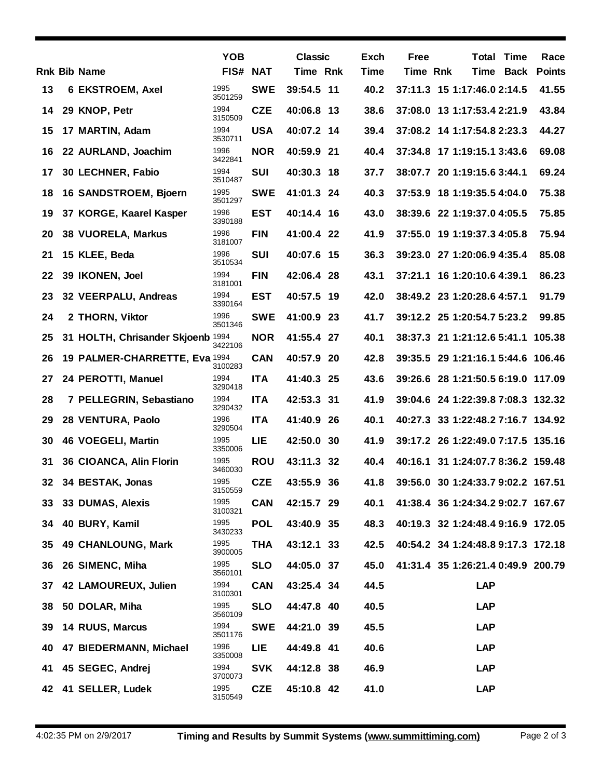|    |                                   | <b>YOB</b>      |            | <b>Classic</b> |     | Exch        | Free            |                                    | <b>Total Time</b> | Race          |
|----|-----------------------------------|-----------------|------------|----------------|-----|-------------|-----------------|------------------------------------|-------------------|---------------|
|    | <b>Rnk Bib Name</b>               | FIS# NAT        |            | Time Rnk       |     | <b>Time</b> | <b>Time Rnk</b> |                                    | Time Back         | <b>Points</b> |
| 13 | 6 EKSTROEM, Axel                  | 1995<br>3501259 | <b>SWE</b> | 39:54.5 11     |     | 40.2        |                 | 37:11.3 15 1:17:46.0 2:14.5        |                   | 41.55         |
| 14 | 29 KNOP, Petr                     | 1994<br>3150509 | <b>CZE</b> | 40:06.8 13     |     | 38.6        |                 | 37:08.0 13 1:17:53.4 2:21.9        |                   | 43.84         |
| 15 | 17 MARTIN, Adam                   | 1994<br>3530711 | <b>USA</b> | 40:07.2 14     |     | 39.4        |                 | 37:08.2 14 1:17:54.8 2:23.3        |                   | 44.27         |
| 16 | 22 AURLAND, Joachim               | 1996<br>3422841 | <b>NOR</b> | 40:59.9 21     |     | 40.4        |                 | 37:34.8 17 1:19:15.1 3:43.6        |                   | 69.08         |
| 17 | 30 LECHNER, Fabio                 | 1994<br>3510487 | <b>SUI</b> | 40:30.3 18     |     | 37.7        |                 | 38:07.7 20 1:19:15.6 3:44.1        |                   | 69.24         |
| 18 | 16 SANDSTROEM, Bjoern             | 1995<br>3501297 | <b>SWE</b> | 41:01.3 24     |     | 40.3        |                 | 37:53.9 18 1:19:35.5 4:04.0        |                   | 75.38         |
| 19 | 37 KORGE, Kaarel Kasper           | 1996<br>3390188 | <b>EST</b> | 40:14.4 16     |     | 43.0        |                 | 38:39.6 22 1:19:37.0 4:05.5        |                   | 75.85         |
| 20 | <b>38 VUORELA, Markus</b>         | 1996<br>3181007 | <b>FIN</b> | 41:00.4 22     |     | 41.9        |                 | 37:55.0 19 1:19:37.3 4:05.8        |                   | 75.94         |
| 21 | 15 KLEE, Beda                     | 1996<br>3510534 | <b>SUI</b> | 40:07.6 15     |     | 36.3        |                 | 39:23.0 27 1:20:06.9 4:35.4        |                   | 85.08         |
| 22 | 39 IKONEN, Joel                   | 1994<br>3181001 | <b>FIN</b> | 42:06.4 28     |     | 43.1        |                 | 37:21.1 16 1:20:10.6 4:39.1        |                   | 86.23         |
| 23 | 32 VEERPALU, Andreas              | 1994<br>3390164 | <b>EST</b> | 40:57.5 19     |     | 42.0        |                 | 38:49.2 23 1:20:28.6 4:57.1        |                   | 91.79         |
| 24 | 2 THORN, Viktor                   | 1996<br>3501346 | <b>SWE</b> | 41:00.9 23     |     | 41.7        |                 | 39:12.2 25 1:20:54.7 5:23.2        |                   | 99.85         |
| 25 | 31 HOLTH, Chrisander Skjoenb 1994 | 3422106         | <b>NOR</b> | 41:55.4 27     |     | 40.1        |                 | 38:37.3 21 1:21:12.6 5:41.1 105.38 |                   |               |
| 26 | 19 PALMER-CHARRETTE, Eva 1994     | 3100283         | <b>CAN</b> | 40:57.9 20     |     | 42.8        |                 | 39:35.5 29 1:21:16.1 5:44.6 106.46 |                   |               |
| 27 | 24 PEROTTI, Manuel                | 1994<br>3290418 | <b>ITA</b> | 41:40.3 25     |     | 43.6        |                 | 39:26.6 28 1:21:50.5 6:19.0 117.09 |                   |               |
| 28 | 7 PELLEGRIN, Sebastiano           | 1994<br>3290432 | <b>ITA</b> | 42:53.3 31     |     | 41.9        |                 | 39:04.6 24 1:22:39.8 7:08.3 132.32 |                   |               |
| 29 | 28 VENTURA, Paolo                 | 1996<br>3290504 | <b>ITA</b> | 41:40.9 26     |     | 40.1        |                 | 40:27.3 33 1:22:48.2 7:16.7 134.92 |                   |               |
| 30 | 46 VOEGELI, Martin                | 1995<br>3350006 | LIE        | 42:50.0 30     |     | 41.9        |                 | 39:17.2 26 1:22:49.0 7:17.5 135.16 |                   |               |
| 31 | 36 CIOANCA, Alin Florin           | 1995<br>3460030 | <b>ROU</b> | 43:11.3 32     |     | 40.4        |                 | 40:16.1 31 1:24:07.7 8:36.2 159.48 |                   |               |
| 32 | 34 BESTAK, Jonas                  | 1995<br>3150559 | <b>CZE</b> | 43:55.9        | -36 | 41.8        |                 | 39:56.0 30 1:24:33.7 9:02.2 167.51 |                   |               |
| 33 | 33 DUMAS, Alexis                  | 1995<br>3100321 | <b>CAN</b> | 42:15.7 29     |     | 40.1        |                 | 41:38.4 36 1:24:34.2 9:02.7 167.67 |                   |               |
| 34 | 40 BURY, Kamil                    | 1995<br>3430233 | <b>POL</b> | 43:40.9 35     |     | 48.3        |                 | 40:19.3 32 1:24:48.4 9:16.9 172.05 |                   |               |
| 35 | 49 CHANLOUNG, Mark                | 1995<br>3900005 | <b>THA</b> | 43:12.1 33     |     | 42.5        |                 | 40:54.2 34 1:24:48.8 9:17.3 172.18 |                   |               |
| 36 | 26 SIMENC, Miha                   | 1995<br>3560101 | <b>SLO</b> | 44:05.0 37     |     | 45.0        |                 | 41:31.4 35 1:26:21.4 0:49.9 200.79 |                   |               |
| 37 | 42 LAMOUREUX, Julien              | 1994<br>3100301 | <b>CAN</b> | 43:25.4 34     |     | 44.5        |                 | <b>LAP</b>                         |                   |               |
| 38 | 50 DOLAR, Miha                    | 1995<br>3560109 | <b>SLO</b> | 44:47.8 40     |     | 40.5        |                 | <b>LAP</b>                         |                   |               |
| 39 | <b>14 RUUS, Marcus</b>            | 1994<br>3501176 | <b>SWE</b> | 44:21.0 39     |     | 45.5        |                 | <b>LAP</b>                         |                   |               |
| 40 | 47 BIEDERMANN, Michael            | 1996<br>3350008 | LIE        | 44:49.8 41     |     | 40.6        |                 | <b>LAP</b>                         |                   |               |
| 41 | 45 SEGEC, Andrej                  | 1994<br>3700073 | <b>SVK</b> | 44:12.8 38     |     | 46.9        |                 | <b>LAP</b>                         |                   |               |
| 42 | 41 SELLER, Ludek                  | 1995<br>3150549 | <b>CZE</b> | 45:10.8 42     |     | 41.0        |                 | <b>LAP</b>                         |                   |               |